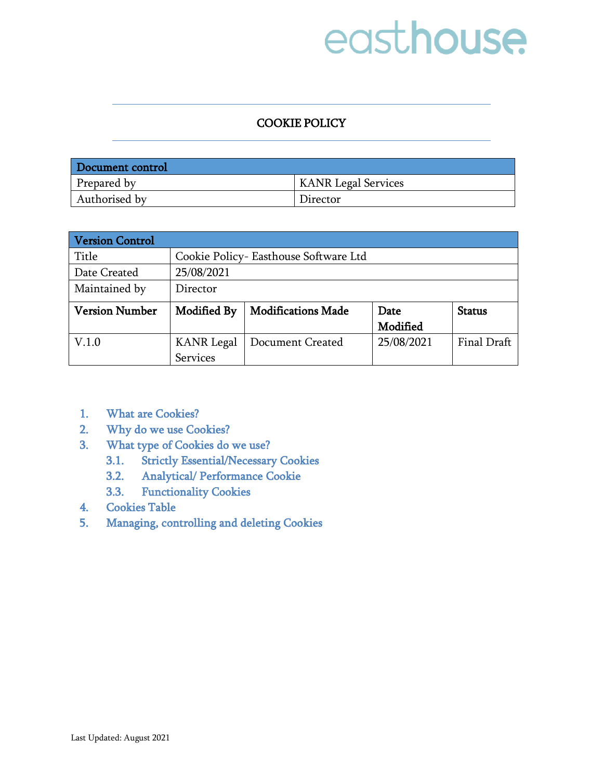#### COOKIE POLICY

| Document control |                            |
|------------------|----------------------------|
| Prepared by      | <b>KANR Legal Services</b> |
| Authorised by    | Director                   |

| <b>Version Control</b> |                                       |                           |            |               |
|------------------------|---------------------------------------|---------------------------|------------|---------------|
| Title                  | Cookie Policy- Easthouse Software Ltd |                           |            |               |
| Date Created           | 25/08/2021                            |                           |            |               |
| Maintained by          | Director                              |                           |            |               |
| <b>Version Number</b>  | Modified By                           | <b>Modifications Made</b> | Date       | <b>Status</b> |
|                        |                                       |                           | Modified   |               |
| V.1.0                  | <b>KANR Legal</b>                     | Document Created          | 25/08/2021 | Final Draft   |
|                        | Services                              |                           |            |               |

- 1. [What are Cookies?](#page-1-0)
- 2. [Why do we use Cookies?](#page-1-1)
- 3. [What type of Cookies do we use?](#page-1-2) 
	- 3.1. [Strictly Essential/Necessary Cookies](#page-2-0)
	- 3.2. [Analytical/ Performance Cookie](#page-2-1)
	- 3.3. [Functionality Cookies](#page-2-2)
- 4. [Cookies Table](#page-2-3)
- 5. [Managing, controlling and deleting Cookies](#page-5-0)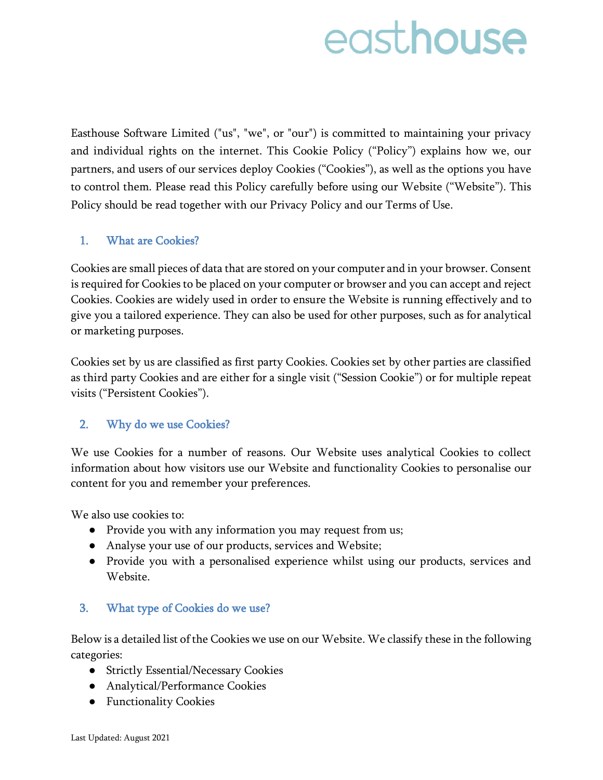Easthouse Software Limited ("us", "we", or "our") is committed to maintaining your privacy and individual rights on the internet. This Cookie Policy ("Policy") explains how we, our partners, and users of our services deploy Cookies ("Cookies"), as well as the options you have to control them. Please read this Policy carefully before using our Website ("Website"). This Policy should be read together with our Privacy Policy and our Terms of Use.

### <span id="page-1-0"></span>1. What are Cookies?

Cookies are small pieces of data that are stored on your computer and in your browser. Consent is required for Cookies to be placed on your computer or browser and you can accept and reject Cookies. Cookies are widely used in order to ensure the Website is running effectively and to give you a tailored experience. They can also be used for other purposes, such as for analytical or marketing purposes.

Cookies set by us are classified as first party Cookies. Cookies set by other parties are classified as third party Cookies and are either for a single visit ("Session Cookie") or for multiple repeat visits ("Persistent Cookies").

### <span id="page-1-1"></span>2. Why do we use Cookies?

We use Cookies for a number of reasons. Our Website uses analytical Cookies to collect information about how visitors use our Website and functionality Cookies to personalise our content for you and remember your preferences.

We also use cookies to:

- Provide you with any information you may request from us;
- Analyse your use of our products, services and Website;
- Provide you with a personalised experience whilst using our products, services and Website.

### <span id="page-1-2"></span>3. What type of Cookies do we use?

Below is a detailed list of the Cookies we use on our Website. We classify these in the following categories:

- Strictly Essential/Necessary Cookies
- Analytical/Performance Cookies
- Functionality Cookies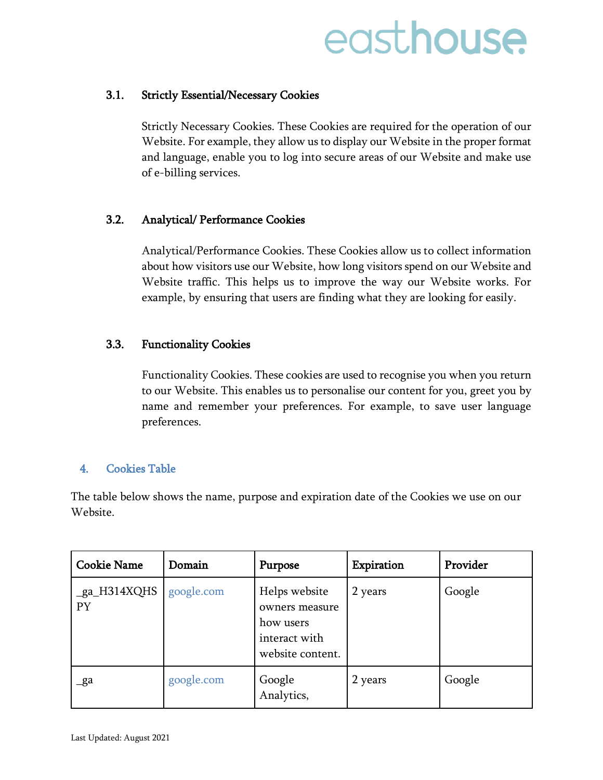#### <span id="page-2-0"></span>3.1. Strictly Essential/Necessary Cookies

Strictly Necessary Cookies. These Cookies are required for the operation of our Website. For example, they allow us to display our Website in the proper format and language, enable you to log into secure areas of our Website and make use of e-billing services.

#### <span id="page-2-1"></span>3.2. Analytical/ Performance Cookies

Analytical/Performance Cookies. These Cookies allow us to collect information about how visitors use our Website, how long visitors spend on our Website and Website traffic. This helps us to improve the way our Website works. For example, by ensuring that users are finding what they are looking for easily.

#### <span id="page-2-2"></span>3.3. Functionality Cookies

Functionality Cookies. These cookies are used to recognise you when you return to our Website. This enables us to personalise our content for you, greet you by name and remember your preferences. For example, to save user language preferences.

#### <span id="page-2-3"></span>4. Cookies Table

The table below shows the name, purpose and expiration date of the Cookies we use on our Website.

| <b>Cookie Name</b>               | Domain     | Purpose                                                                           | Expiration | Provider |
|----------------------------------|------------|-----------------------------------------------------------------------------------|------------|----------|
| $_{ga$ <sub>H314XQHS</sub><br>PY | google.com | Helps website<br>owners measure<br>how users<br>interact with<br>website content. | 2 years    | Google   |
| _ga                              | google.com | Google<br>Analytics,                                                              | 2 years    | Google   |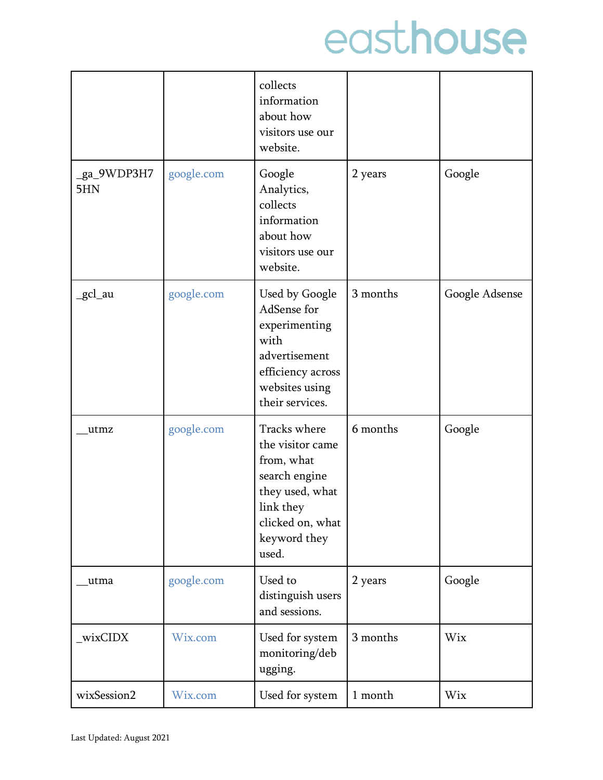|                    |            | collects<br>information<br>about how<br>visitors use our<br>website.                                                                         |          |                |
|--------------------|------------|----------------------------------------------------------------------------------------------------------------------------------------------|----------|----------------|
| _ga_9WDP3H7<br>5HN | google.com | Google<br>Analytics,<br>collects<br>information<br>about how<br>visitors use our<br>website.                                                 | 2 years  | Google         |
| _gcl_au            | google.com | Used by Google<br>AdSense for<br>experimenting<br>with<br>advertisement<br>efficiency across<br>websites using<br>their services.            | 3 months | Google Adsense |
| utmz               | google.com | Tracks where<br>the visitor came<br>from, what<br>search engine<br>they used, what<br>link they<br>clicked on, what<br>keyword they<br>used. | 6 months | Google         |
| utma               | google.com | Used to<br>distinguish users<br>and sessions.                                                                                                | 2 years  | Google         |
| _wixCIDX           | Wix.com    | Used for system<br>monitoring/deb<br>ugging.                                                                                                 | 3 months | Wix            |
| wixSession2        | Wix.com    | Used for system                                                                                                                              | 1 month  | Wix            |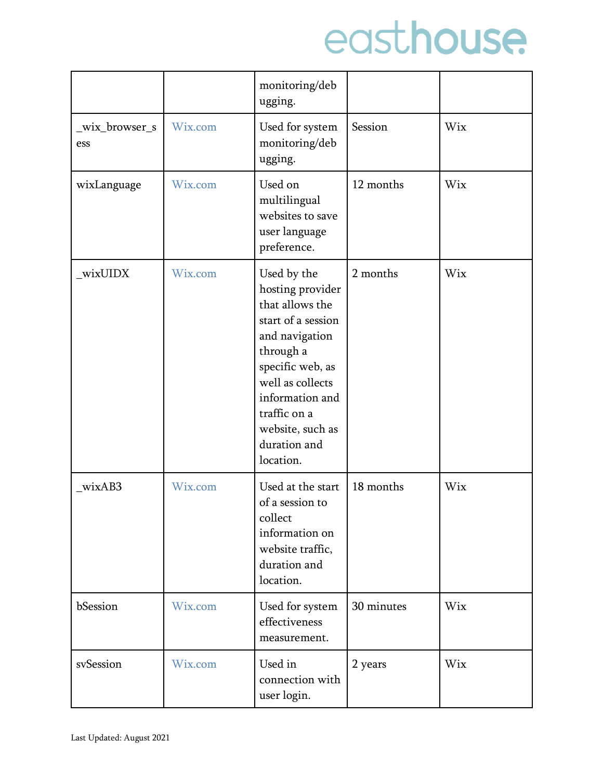|                      |         | monitoring/deb<br>ugging.                                                                                                                                                                                                           |            |     |
|----------------------|---------|-------------------------------------------------------------------------------------------------------------------------------------------------------------------------------------------------------------------------------------|------------|-----|
| wix_browser_s<br>ess | Wix.com | Used for system<br>monitoring/deb<br>ugging.                                                                                                                                                                                        | Session    | Wix |
| wixLanguage          | Wix.com | Used on<br>multilingual<br>websites to save<br>user language<br>preference.                                                                                                                                                         | 12 months  | Wix |
| wixUIDX              | Wix.com | Used by the<br>hosting provider<br>that allows the<br>start of a session<br>and navigation<br>through a<br>specific web, as<br>well as collects<br>information and<br>traffic on a<br>website, such as<br>duration and<br>location. | 2 months   | Wix |
| wixAB3               | Wix.com | Used at the start<br>of a session to<br>collect<br>information on<br>website traffic,<br>duration and<br>location.                                                                                                                  | 18 months  | Wix |
| bSession             | Wix.com | Used for system<br>effectiveness<br>measurement.                                                                                                                                                                                    | 30 minutes | Wix |
| svSession            | Wix.com | Used in<br>connection with<br>user login.                                                                                                                                                                                           | 2 years    | Wix |